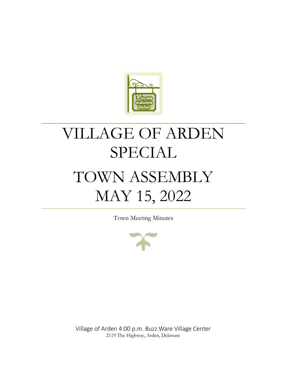

# VILLAGE OF ARDEN SPECIAL TOWN ASSEMBLY MAY 15, 2022

Town Meeting Minutes



Village of Arden 4:00 p.m. Buzz Ware Village Center 2119 The Highway, Arden, Delaware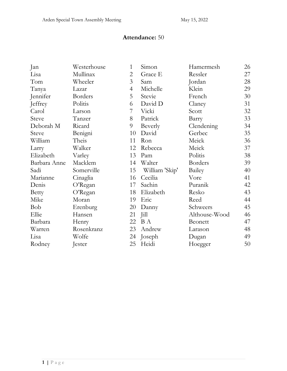## **Attendance:** 50

| Jan          | Westerhouse | $\mathbf{1}$   | Simon          | Hamermesh      | 26 |
|--------------|-------------|----------------|----------------|----------------|----|
| Lisa         | Mullinax    | $\overline{2}$ | Grace E        | Ressler        | 27 |
| Tom          | Wheeler     | $\mathfrak{Z}$ | Sam            | Jordan         | 28 |
| Tanya        | Lazar       | $\overline{4}$ | Michelle       | Klein          | 29 |
| Jennifer     | Borders     | 5              | Stevie         | French         | 30 |
| Jeffrey      | Politis     | 6              | David D        | Claney         | 31 |
| Carol        | Larson      | 7              | Vicki          | Scott          | 32 |
| Steve        | Tanzer      | 8              | Patrick        | Barry          | 33 |
| Deborah M    | Ricard      | 9              | Beverly        | Clendening     | 34 |
| <b>Steve</b> | Benigni     | 10             | David          | Gerbec         | 35 |
| William      | Theis       | 11             | Ron            | Meick          | 36 |
| Larry        | Walker      | 12             | Rebecca        | Meick          | 37 |
| Elizabeth    | Varley      | 13             | Pam            | Politis        | 38 |
| Barbara Anne | Macklem     | 14             | Walter         | <b>Borders</b> | 39 |
| Sadi         | Somerville  | 15             | William 'Skip' | Bailey         | 40 |
| Marianne     | Cinaglia    | 16             | Cecilia        | Vore           | 41 |
| Denis        | O'Regan     | 17             | Sachin         | Puranik        | 42 |
| <b>Betty</b> | O'Regan     | 18             | Elizabeth      | Resko          | 43 |
| Mike         | Moran       | 19             | Eric           | Reed           | 44 |
| Bob          | Erenburg    | 20             | Danny          | Schweers       | 45 |
| Ellie        | Hansen      | 21             | Jill           | Althouse-Wood  | 46 |
| Barbara      | Henry       | 22             | <b>B</b> A     | <b>Beonett</b> | 47 |
| Warren       | Rosenkranz  | 23             | Andrew         | Larason        | 48 |
| Lisa         | Wolfe       | 24             | Joseph         | Dugan          | 49 |
| Rodney       | Jester      | 25             | Heidi          | Hoegger        | 50 |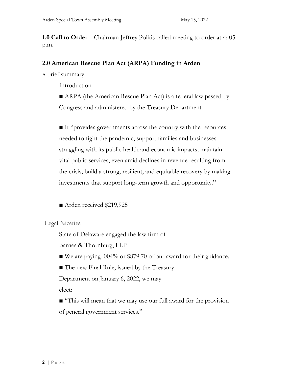**1.0 Call to Order** – Chairman Jeffrey Politis called meeting to order at 4: 05 p.m.

## **2.0 American Rescue Plan Act (ARPA) Funding in Arden**

A brief summary:

Introduction

■ ARPA (the American Rescue Plan Act) is a federal law passed by Congress and administered by the Treasury Department.

■ It "provides governments across the country with the resources needed to fight the pandemic, support families and businesses struggling with its public health and economic impacts; maintain vital public services, even amid declines in revenue resulting from the crisis; build a strong, resilient, and equitable recovery by making investments that support long-term growth and opportunity."

■ Arden received \$219,925

Legal Niceties

State of Delaware engaged the law firm of

Barnes & Thornburg, LLP

■ We are paying .004% or \$879.70 of our award for their guidance.

■ The new Final Rule, issued by the Treasury

Department on January 6, 2022, we may

elect:

■ "This will mean that we may use our full award for the provision of general government services."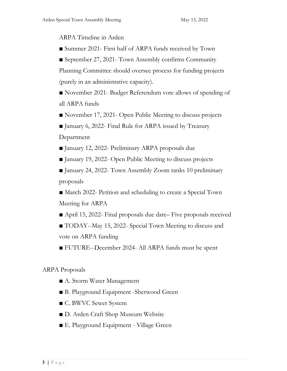ARPA Timeline in Arden

■ Summer 2021- First half of ARPA funds received by Town

■ September 27, 2021- Town Assembly confirms Community

Planning Committee should oversee process for funding projects (purely in an administrative capacity).

■ November 2021- Budget Referendum vote allows of spending of all ARPA funds

■ November 17, 2021- Open Public Meeting to discuss projects

■ January 6, 2022- Final Rule for ARPA issued by Treasury Department

■ January 12, 2022- Preliminary ARPA proposals due

■ January 19, 2022- Open Public Meeting to discuss projects

■ January 24, 2022- Town Assembly Zoom ranks 10 preliminary proposals

■ March 2022- Petition and scheduling to create a Special Town Meeting for ARPA

■ April 15, 2022- Final proposals due date– Five proposals received

■ TODAY--May 15, 2022- Special Town Meeting to discuss and vote on ARPA funding

■ FUTURE--December 2024- All ARPA funds must be spent

## ARPA Proposals

- A. Storm Water Management
- B. Playground Equipment -Sherwood Green
- C. BWVC Sewer System
- D. Arden Craft Shop Museum Website
- E. Playground Equipment Village Green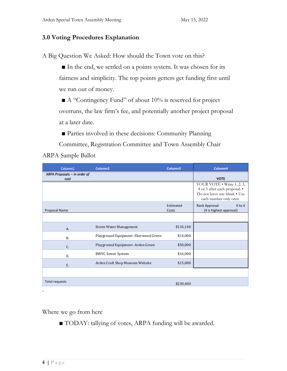## **3.0 Voting Procedures Explanation**

A Big Question We Asked: How should the Town vote on this?

■ In the end, we settled on a points system. It was chosen for its fairness and simplicity. The top points getters get funding first until we run out of money.

■ A "Contingency Fund" of about 10% is reserved for project overruns, the law firm's fee, and potentially another project proposal at a later date.

■ Parties involved in these decisions: Community Planning

Committee, Registration Committee and Town Assembly Chair ARPA Sample Ballot

| Column1                               | Column <sub>2</sub>                  | Column3            | Column4                                                                                                              |
|---------------------------------------|--------------------------------------|--------------------|----------------------------------------------------------------------------------------------------------------------|
| ARPA Proposals -- in order of<br>cost |                                      |                    | <b>VOTE</b>                                                                                                          |
|                                       |                                      |                    | YOUR VOTE • Write 1, 2, 3,<br>4 or 5 after each proposal. •<br>Do not leave any blank . Use<br>each number only once |
| Proposal Name                         |                                      | Estimated<br>Costs | Rank Approval<br>$0$ to $4$<br>(4 is highest approval)                                                               |
|                                       |                                      |                    |                                                                                                                      |
| A.                                    | <b>Storm Water Management</b>        | \$134,140          |                                                                                                                      |
| <b>B.</b>                             | Playground Equipment -Sherwood Green | \$14,000           |                                                                                                                      |
| C.                                    | Playground Equipment -Arden Green    | \$50,000           |                                                                                                                      |
| D.                                    | <b>BWVC Sewer System</b>             | \$16,000           |                                                                                                                      |
| E.                                    | Arden Craft Shop Museum Website      | \$15,000           |                                                                                                                      |
|                                       |                                      |                    |                                                                                                                      |
| <b>Total requests</b>                 |                                      | \$230,400          |                                                                                                                      |
|                                       |                                      |                    |                                                                                                                      |

Where we go from here

■ TODAY: tallying of votes, ARPA funding will be awarded.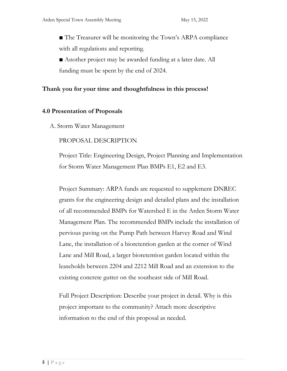■ The Treasurer will be monitoring the Town's ARPA compliance with all regulations and reporting.

■ Another project may be awarded funding at a later date. All funding must be spent by the end of 2024.

## **Thank you for your time and thoughtfulness in this process!**

#### **4.0 Presentation of Proposals**

A. Storm Water Management

#### PROPOSAL DESCRIPTION

Project Title: Engineering Design, Project Planning and Implementation for Storm Water Management Plan BMPs E1, E2 and E3.

Project Summary: ARPA funds are requested to supplement DNREC grants for the engineering design and detailed plans and the installation of all recommended BMPs for Watershed E in the Arden Storm Water Management Plan. The recommended BMPs include the installation of pervious paving on the Pump Path between Harvey Road and Wind Lane, the installation of a bioretention garden at the corner of Wind Lane and Mill Road, a larger bioretention garden located within the leaseholds between 2204 and 2212 Mill Road and an extension to the existing concrete gutter on the southeast side of Mill Road.

Full Project Description: Describe your project in detail. Why is this project important to the community? Attach more descriptive information to the end of this proposal as needed.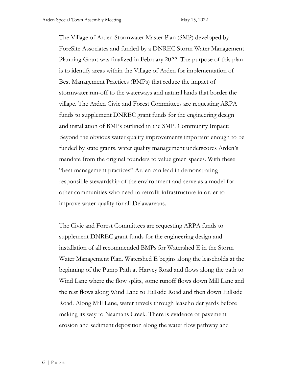The Village of Arden Stormwater Master Plan (SMP) developed by ForeSite Associates and funded by a DNREC Storm Water Management Planning Grant was finalized in February 2022. The purpose of this plan is to identify areas within the Village of Arden for implementation of Best Management Practices (BMPs) that reduce the impact of stormwater run-off to the waterways and natural lands that border the village. The Arden Civic and Forest Committees are requesting ARPA funds to supplement DNREC grant funds for the engineering design and installation of BMPs outlined in the SMP. Community Impact: Beyond the obvious water quality improvements important enough to be funded by state grants, water quality management underscores Arden's mandate from the original founders to value green spaces. With these "best management practices" Arden can lead in demonstrating responsible stewardship of the environment and serve as a model for other communities who need to retrofit infrastructure in order to improve water quality for all Delawareans.

The Civic and Forest Committees are requesting ARPA funds to supplement DNREC grant funds for the engineering design and installation of all recommended BMPs for Watershed E in the Storm Water Management Plan. Watershed E begins along the leaseholds at the beginning of the Pump Path at Harvey Road and flows along the path to Wind Lane where the flow splits, some runoff flows down Mill Lane and the rest flows along Wind Lane to Hillside Road and then down Hillside Road. Along Mill Lane, water travels through leaseholder yards before making its way to Naamans Creek. There is evidence of pavement erosion and sediment deposition along the water flow pathway and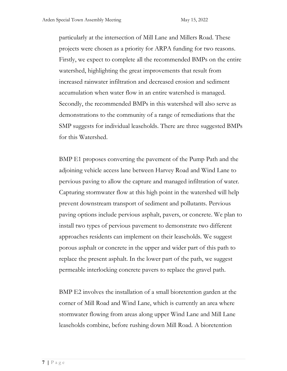particularly at the intersection of Mill Lane and Millers Road. These projects were chosen as a priority for ARPA funding for two reasons. Firstly, we expect to complete all the recommended BMPs on the entire watershed, highlighting the great improvements that result from increased rainwater infiltration and decreased erosion and sediment accumulation when water flow in an entire watershed is managed. Secondly, the recommended BMPs in this watershed will also serve as demonstrations to the community of a range of remediations that the SMP suggests for individual leaseholds. There are three suggested BMPs for this Watershed.

BMP E1 proposes converting the pavement of the Pump Path and the adjoining vehicle access lane between Harvey Road and Wind Lane to pervious paving to allow the capture and managed infiltration of water. Capturing stormwater flow at this high point in the watershed will help prevent downstream transport of sediment and pollutants. Pervious paving options include pervious asphalt, pavers, or concrete. We plan to install two types of pervious pavement to demonstrate two different approaches residents can implement on their leaseholds. We suggest porous asphalt or concrete in the upper and wider part of this path to replace the present asphalt. In the lower part of the path, we suggest permeable interlocking concrete pavers to replace the gravel path.

BMP E2 involves the installation of a small bioretention garden at the corner of Mill Road and Wind Lane, which is currently an area where stormwater flowing from areas along upper Wind Lane and Mill Lane leaseholds combine, before rushing down Mill Road. A bioretention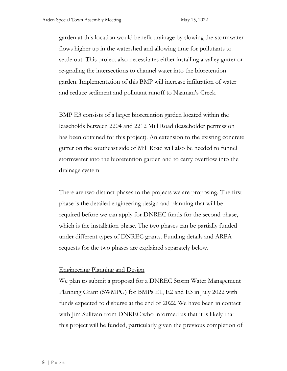garden at this location would benefit drainage by slowing the stormwater flows higher up in the watershed and allowing time for pollutants to settle out. This project also necessitates either installing a valley gutter or re-grading the intersections to channel water into the bioretention garden. Implementation of this BMP will increase infiltration of water and reduce sediment and pollutant runoff to Naaman's Creek.

BMP E3 consists of a larger bioretention garden located within the leaseholds between 2204 and 2212 Mill Road (leaseholder permission has been obtained for this project). An extension to the existing concrete gutter on the southeast side of Mill Road will also be needed to funnel stormwater into the bioretention garden and to carry overflow into the drainage system.

There are two distinct phases to the projects we are proposing. The first phase is the detailed engineering design and planning that will be required before we can apply for DNREC funds for the second phase, which is the installation phase. The two phases can be partially funded under different types of DNREC grants. Funding details and ARPA requests for the two phases are explained separately below.

## Engineering Planning and Design

We plan to submit a proposal for a DNREC Storm Water Management Planning Grant (SWMPG) for BMPs E1, E2 and E3 in July 2022 with funds expected to disburse at the end of 2022. We have been in contact with Jim Sullivan from DNREC who informed us that it is likely that this project will be funded, particularly given the previous completion of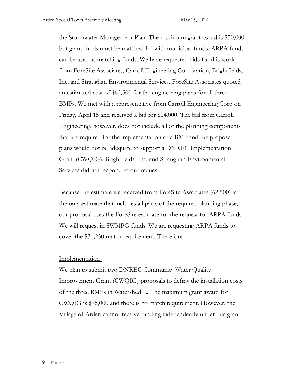the Stormwater Management Plan. The maximum grant award is \$50,000 but grant funds must be matched 1:1 with municipal funds. ARPA funds can be used as matching funds. We have requested bids for this work from ForeSite Associates, Carroll Engineering Corporation, Brightfields, Inc. and Straughan Environmental Services. ForeSite Associates quoted an estimated cost of \$62,500 for the engineering plans for all three BMPs. We met with a representative from Carroll Engineering Corp on Friday, April 15 and received a bid for \$14,000. The bid from Carroll Engineering, however, does not include all of the planning components that are required for the implementation of a BMP and the proposed plans would not be adequate to support a DNREC Implementation Grant (CWQIG). Brightfields, Inc. and Straughan Environmental Services did not respond to our request.

Because the estimate we received from ForeSite Associates (62,500) is the only estimate that includes all parts of the required planning phase, our proposal uses the ForeSite estimate for the request for ARPA funds. We will request in SWMPG funds. We are requesting ARPA funds to cover the \$31,250 match requirement. Therefore

## Implementation

We plan to submit two DNREC Community Water Quality Improvement Grant (CWQIG) proposals to defray the installation costs of the three BMPs in Watershed E. The maximum grant award for CWQIG is \$75,000 and there is no match requirement. However, the Village of Arden cannot receive funding independently under this grant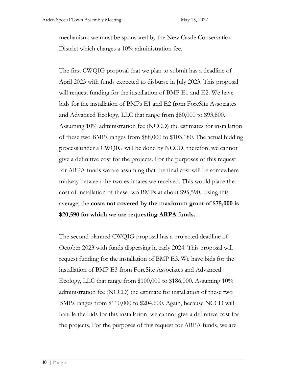mechanism; we must be sponsored by the New Castle Conservation District which charges a 10% administration fee.

The first CWQIG proposal that we plan to submit has a deadline of April 2023 with funds expected to disburse in July 2023. This proposal will request funding for the installation of BMP E1 and E2. We have bids for the installation of BMPs E1 and E2 from ForeSite Associates and Advanced Ecology, LLC that range from \$80,000 to \$93,800. Assuming 10% administration fee (NCCD) the estimates for installation of these two BMPs ranges from \$88,000 to \$103,180. The actual bidding process under a CWQIG will be done by NCCD, therefore we cannot give a definitive cost for the projects. For the purposes of this request for ARPA funds we are assuming that the final cost will be somewhere midway between the two estimates we received. This would place the cost of installation of these two BMPs at about \$95,590. Using this average, the **costs not covered by the maximum grant of \$75,000 is \$20,590 for which we are requesting ARPA funds.**

The second planned CWQIG proposal has a projected deadline of October 2023 with funds dispersing in early 2024. This proposal will request funding for the installation of BMP E3. We have bids for the installation of BMP E3 from ForeSite Associates and Advanced Ecology, LLC that range from \$100,000 to \$186,000. Assuming 10% administration fee (NCCD) the estimate for installation of these two BMPs ranges from \$110,000 to \$204,600. Again, because NCCD will handle the bids for this installation, we cannot give a definitive cost for the projects, For the purposes of this request for ARPA funds, we are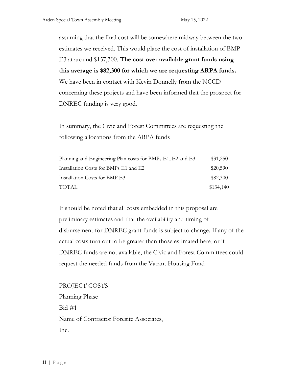assuming that the final cost will be somewhere midway between the two estimates we received. This would place the cost of installation of BMP E3 at around \$157,300. **The cost over available grant funds using this average is \$82,300 for which we are requesting ARPA funds.** We have been in contact with Kevin Donnelly from the NCCD concerning these projects and have been informed that the prospect for DNREC funding is very good.

In summary, the Civic and Forest Committees are requesting the following allocations from the ARPA funds

| Planning and Engineering Plan costs for BMPs E1, E2 and E3 | \$31,250  |
|------------------------------------------------------------|-----------|
| Installation Costs for BMPs E1 and E2                      | \$20,590  |
| Installation Costs for BMP E3                              | \$82,300  |
| TOTAL                                                      | \$134,140 |

It should be noted that all costs embedded in this proposal are preliminary estimates and that the availability and timing of disbursement for DNREC grant funds is subject to change. If any of the actual costs turn out to be greater than those estimated here, or if DNREC funds are not available, the Civic and Forest Committees could request the needed funds from the Vacant Housing Fund

PROJECT COSTS Planning Phase  $Bid #1$ Name of Contractor Foresite Associates, Inc.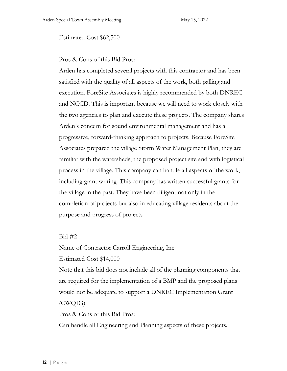#### Estimated Cost \$62,500

Pros & Cons of this Bid Pros:

Arden has completed several projects with this contractor and has been satisfied with the quality of all aspects of the work, both palling and execution. ForeSite Associates is highly recommended by both DNREC and NCCD. This is important because we will need to work closely with the two agencies to plan and execute these projects. The company shares Arden's concern for sound environmental management and has a progressive, forward-thinking approach to projects. Because ForeSite Associates prepared the village Storm Water Management Plan, they are familiar with the watersheds, the proposed project site and with logistical process in the village. This company can handle all aspects of the work, including grant writing. This company has written successful grants for the village in the past. They have been diligent not only in the completion of projects but also in educating village residents about the purpose and progress of projects

#### Bid #2

Name of Contractor Carroll Engineering, Inc

Estimated Cost \$14,000

Note that this bid does not include all of the planning components that are required for the implementation of a BMP and the proposed plans would not be adequate to support a DNREC Implementation Grant (CWQIG).

Pros & Cons of this Bid Pros:

Can handle all Engineering and Planning aspects of these projects.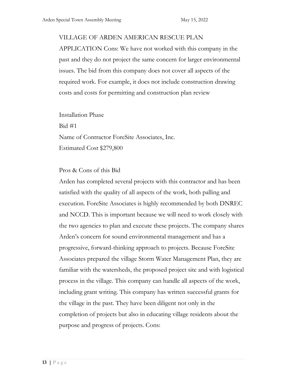#### VILLAGE OF ARDEN AMERICAN RESCUE PLAN

APPLICATION Cons: We have not worked with this company in the past and they do not project the same concern for larger environmental issues. The bid from this company does not cover all aspects of the required work. For example, it does not include construction drawing costs and costs for permitting and construction plan review

Installation Phase Bid #1 Name of Contractor ForeSite Associates, Inc. Estimated Cost \$279,800

#### Pros & Cons of this Bid

Arden has completed several projects with this contractor and has been satisfied with the quality of all aspects of the work, both palling and execution. ForeSite Associates is highly recommended by both DNREC and NCCD. This is important because we will need to work closely with the two agencies to plan and execute these projects. The company shares Arden's concern for sound environmental management and has a progressive, forward-thinking approach to projects. Because ForeSite Associates prepared the village Storm Water Management Plan, they are familiar with the watersheds, the proposed project site and with logistical process in the village. This company can handle all aspects of the work, including grant writing. This company has written successful grants for the village in the past. They have been diligent not only in the completion of projects but also in educating village residents about the purpose and progress of projects. Cons: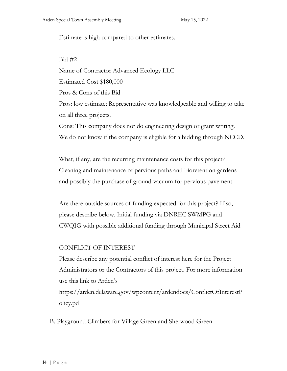Estimate is high compared to other estimates.

Bid #2 Name of Contractor Advanced Ecology LLC Estimated Cost \$180,000 Pros & Cons of this Bid Pros: low estimate; Representative was knowledgeable and willing to take on all three projects. Cons: This company does not do engineering design or grant writing. We do not know if the company is eligible for a bidding through NCCD.

What, if any, are the recurring maintenance costs for this project? Cleaning and maintenance of pervious paths and bioretention gardens and possibly the purchase of ground vacuum for pervious pavement.

Are there outside sources of funding expected for this project? If so, please describe below. Initial funding via DNREC SWMPG and CWQIG with possible additional funding through Municipal Street Aid

#### CONFLICT OF INTEREST

Please describe any potential conflict of interest here for the Project Administrators or the Contractors of this project. For more information use this link to Arden's

https://arden.delaware.gov/wpcontent/ardendocs/ConflictOfInterestP olicy.pd

B. Playground Climbers for Village Green and Sherwood Green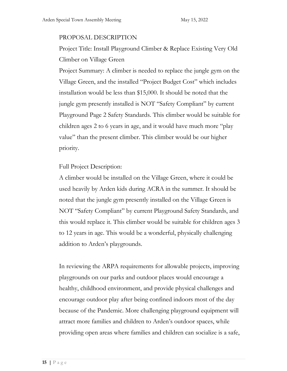#### PROPOSAL DESCRIPTION

Project Title: Install Playground Climber & Replace Existing Very Old Climber on Village Green

Project Summary: A climber is needed to replace the jungle gym on the Village Green, and the installed "Project Budget Cost" which includes installation would be less than \$15,000. It should be noted that the jungle gym presently installed is NOT "Safety Compliant" by current Playground Page 2 Safety Standards. This climber would be suitable for children ages 2 to 6 years in age, and it would have much more "play value" than the present climber. This climber would be our higher priority.

Full Project Description:

A climber would be installed on the Village Green, where it could be used heavily by Arden kids during ACRA in the summer. It should be noted that the jungle gym presently installed on the Village Green is NOT "Safety Compliant" by current Playground Safety Standards, and this would replace it. This climber would be suitable for children ages 3 to 12 years in age. This would be a wonderful, physically challenging addition to Arden's playgrounds.

In reviewing the ARPA requirements for allowable projects, improving playgrounds on our parks and outdoor places would encourage a healthy, childhood environment, and provide physical challenges and encourage outdoor play after being confined indoors most of the day because of the Pandemic. More challenging playground equipment will attract more families and children to Arden's outdoor spaces, while providing open areas where families and children can socialize is a safe,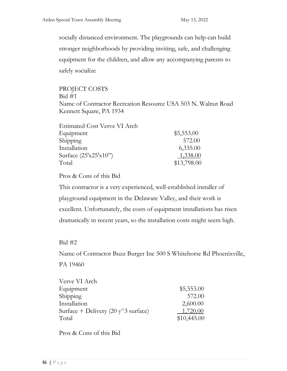socially distanced environment. The playgrounds can help can build stronger neighborhoods by providing inviting, safe, and challenging equipment for the children, and allow any accompanying parents to safely socialize

PROJECT COSTS  $Bid #1$ Name of Contractor Recreation Resource USA 503 N. Walnut Road Kennett Square, PA 1934

| <b>Estimated Cost Verve VI Arch</b> |             |
|-------------------------------------|-------------|
| Equipment                           | \$5,553.00  |
| Shipping                            | 572.00      |
| Installation                        | 6,335.00    |
| Surface $(25'x25'x10'')$            | 1,338.00    |
| Total                               | \$13,798.00 |

Pros & Cons of this Bid

This contractor is a very experienced, well-established installer of playground equipment in the Delaware Valley, and their work is excellent. Unfortunately, the costs of equipment installations has risen dramatically in recent years, so the installation costs might seem high.

## Bid #2

Name of Contractor Buzz Burger Inc 500 S Whitehorse Rd Phoenixville, PA 19460

| Verve VI Arch                         |             |
|---------------------------------------|-------------|
| Equipment                             | \$5,553.00  |
| Shipping                              | 572.00      |
| Installation                          | 2,600.00    |
| Surface + Delivery (20 $y^3$ surface) | 1,720.00    |
| Total                                 | \$10,445.00 |

Pros & Cons of this Bid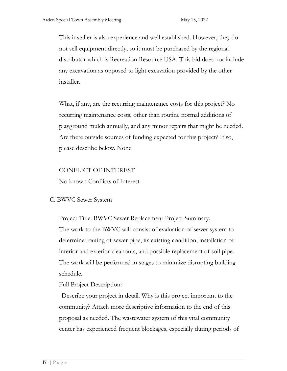This installer is also experience and well established. However, they do not sell equipment directly, so it must be purchased by the regional distributor which is Recreation Resource USA. This bid does not include any excavation as opposed to light excavation provided by the other installer.

What, if any, are the recurring maintenance costs for this project? No recurring maintenance costs, other than routine normal additions of playground mulch annually, and any minor repairs that might be needed. Are there outside sources of funding expected for this project? If so, please describe below. None

## CONFLICT OF INTEREST

No known Conflicts of Interest

C. BWVC Sewer System

Project Title: BWVC Sewer Replacement Project Summary: The work to the BWVC will consist of evaluation of sewer system to determine routing of sewer pipe, its existing condition, installation of interior and exterior cleanouts, and possible replacement of soil pipe. The work will be performed in stages to minimize disrupting building schedule.

Full Project Description:

Describe your project in detail. Why is this project important to the community? Attach more descriptive information to the end of this proposal as needed. The wastewater system of this vital community center has experienced frequent blockages, especially during periods of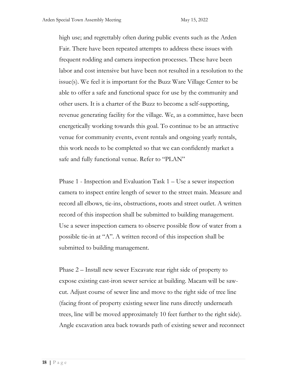high use; and regrettably often during public events such as the Arden Fair. There have been repeated attempts to address these issues with frequent rodding and camera inspection processes. These have been labor and cost intensive but have been not resulted in a resolution to the issue(s). We feel it is important for the Buzz Ware Village Center to be able to offer a safe and functional space for use by the community and other users. It is a charter of the Buzz to become a self-supporting, revenue generating facility for the village. We, as a committee, have been energetically working towards this goal. To continue to be an attractive venue for community events, event rentals and ongoing yearly rentals, this work needs to be completed so that we can confidently market a safe and fully functional venue. Refer to "PLAN"

Phase 1 - Inspection and Evaluation Task 1 – Use a sewer inspection camera to inspect entire length of sewer to the street main. Measure and record all elbows, tie-ins, obstructions, roots and street outlet. A written record of this inspection shall be submitted to building management. Use a sewer inspection camera to observe possible flow of water from a possible tie-in at "A". A written record of this inspection shall be submitted to building management.

Phase 2 – Install new sewer Excavate rear right side of property to expose existing cast-iron sewer service at building. Macam will be sawcut. Adjust course of sewer line and move to the right side of tree line (facing front of property existing sewer line runs directly underneath trees, line will be moved approximately 10 feet further to the right side). Angle excavation area back towards path of existing sewer and reconnect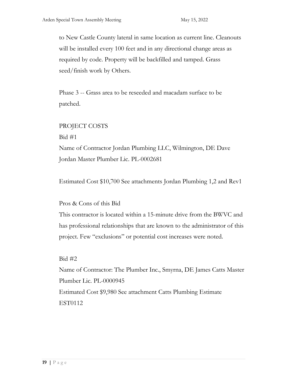to New Castle County lateral in same location as current line. Cleanouts will be installed every 100 feet and in any directional change areas as required by code. Property will be backfilled and tamped. Grass seed/finish work by Others.

Phase 3 -- Grass area to be reseeded and macadam surface to be patched.

#### PROJECT COSTS

Bid #1

Name of Contractor Jordan Plumbing LLC, Wilmington, DE Dave Jordan Master Plumber Lic. PL-0002681

Estimated Cost \$10,700 See attachments Jordan Plumbing 1,2 and Rev1

Pros & Cons of this Bid

This contractor is located within a 15-minute drive from the BWVC and has professional relationships that are known to the administrator of this project. Few "exclusions" or potential cost increases were noted.

Bid #2

Name of Contractor: The Plumber Inc., Smyrna, DE James Catts Master Plumber Lic. PL-0000945 Estimated Cost \$9,980 See attachment Catts Plumbing Estimate EST0112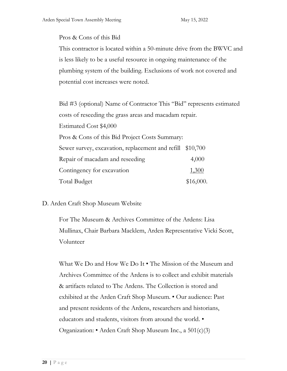#### Pros & Cons of this Bid

This contractor is located within a 50-minute drive from the BWVC and is less likely to be a useful resource in ongoing maintenance of the plumbing system of the building. Exclusions of work not covered and potential cost increases were noted.

Bid #3 (optional) Name of Contractor This "Bid" represents estimated costs of reseeding the grass areas and macadam repair. Estimated Cost \$4,000 Pros & Cons of this Bid Project Costs Summary: Sewer survey, excavation, replacement and refill \$10,700 Repair of macadam and reseeding 4,000 Contingency for excavation  $1,300$ Total Budget \$16,000.

#### D. Arden Craft Shop Museum Website

For The Museum & Archives Committee of the Ardens: Lisa Mullinax, Chair Barbara Macklem, Arden Representative Vicki Scott, Volunteer

What We Do and How We Do It • The Mission of the Museum and Archives Committee of the Ardens is to collect and exhibit materials & artifacts related to The Ardens. The Collection is stored and exhibited at the Arden Craft Shop Museum. • Our audience: Past and present residents of the Ardens, researchers and historians, educators and students, visitors from around the world. • Organization: • Arden Craft Shop Museum Inc., a 501(c)(3)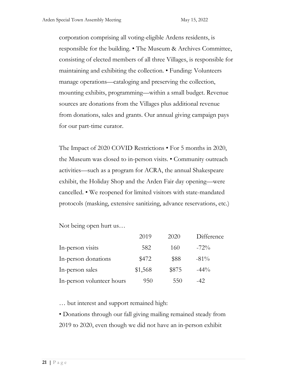corporation comprising all voting-eligible Ardens residents, is responsible for the building. • The Museum & Archives Committee, consisting of elected members of all three Villages, is responsible for maintaining and exhibiting the collection. • Funding: Volunteers manage operations—cataloging and preserving the collection, mounting exhibits, programming—within a small budget. Revenue sources are donations from the Villages plus additional revenue from donations, sales and grants. Our annual giving campaign pays for our part-time curator.

The Impact of 2020 COVID Restrictions • For 5 months in 2020, the Museum was closed to in-person visits. • Community outreach activities—such as a program for ACRA, the annual Shakespeare exhibit, the Holiday Shop and the Arden Fair day opening—were cancelled. • We reopened for limited visitors with state-mandated protocols (masking, extensive sanitizing, advance reservations, etc.)

Not being open hurt us…

|                           | 2019    | 2020  | Difference |
|---------------------------|---------|-------|------------|
| In-person visits          | 582     | 160   | $-72\%$    |
| In-person donations       | \$472   | \$88  | $-81\%$    |
| In-person sales           | \$1,568 | \$875 | $-44\%$    |
| In-person volunteer hours | 950     | 550   | -42        |

… but interest and support remained high:

• Donations through our fall giving mailing remained steady from 2019 to 2020, even though we did not have an in-person exhibit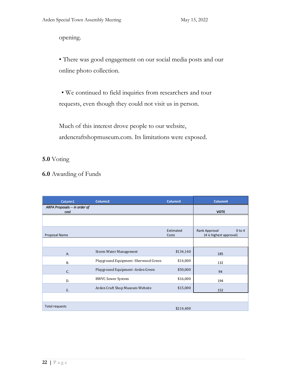opening.

• There was good engagement on our social media posts and our online photo collection.

• We continued to field inquiries from researchers and tour requests, even though they could not visit us in person.

Much of this interest drove people to our website, ardencraftshopmuseum.com. Its limitations were exposed.

## **5.0** Voting

**6.0** Awarding of Funds

| Column1                               | Column <sub>2</sub>                   | Column3            | Column4                                                |
|---------------------------------------|---------------------------------------|--------------------|--------------------------------------------------------|
| ARPA Proposals -- in order of<br>cost |                                       |                    | <b>VOTE</b>                                            |
|                                       |                                       |                    |                                                        |
| Proposal Name                         |                                       | Estimated<br>Costs | Rank Approval<br>$0$ to $4$<br>(4 is highest approval) |
|                                       |                                       |                    |                                                        |
| A.                                    | <b>Storm Water Management</b>         | \$134,140          | 185                                                    |
| <b>B.</b>                             | Playground Equipment - Sherwood Green | \$14,000           | 132                                                    |
| C.                                    | Playground Equipment -Arden Green     | \$50,000           | 94                                                     |
| D.                                    | <b>BWVC Sewer System</b>              | \$16,000           | 194                                                    |
| E.                                    | Arden Craft Shop Museum Website       | \$15,000           | 152                                                    |
|                                       |                                       |                    |                                                        |
| Total requests                        |                                       | \$214,400          |                                                        |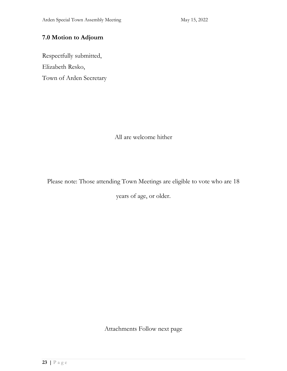## **7.0 Motion to Adjourn**

Respectfully submitted, Elizabeth Resko, Town of Arden Secretary

All are welcome hither

Please note: Those attending Town Meetings are eligible to vote who are 18

years of age, or older.

Attachments Follow next page